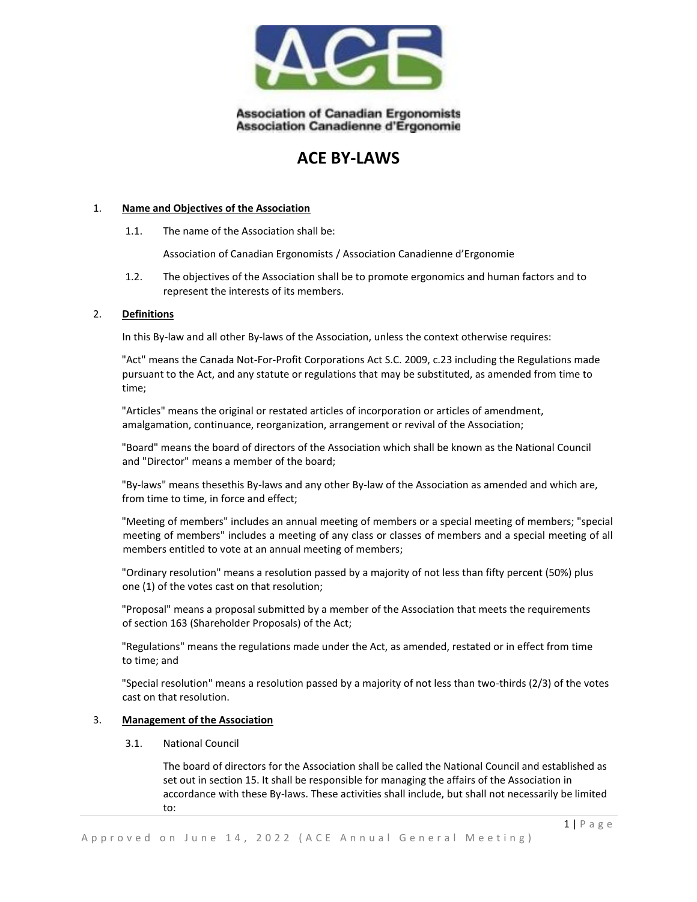

# **ACE BY-LAWS**

#### 1. **Name and Objectives of the Association**

1.1. The name of the Association shall be:

Association of Canadian Ergonomists / Association Canadienne d'Ergonomie

1.2. The objectives of the Association shall be to promote ergonomics and human factors and to represent the interests of its members.

#### 2. **Definitions**

In this By-law and all other By-laws of the Association, unless the context otherwise requires:

"Act" means the Canada Not-For-Profit Corporations Act S.C. 2009, c.23 including the Regulations made pursuant to the Act, and any statute or regulations that may be substituted, as amended from time to time;

"Articles" means the original or restated articles of incorporation or articles of amendment, amalgamation, continuance, reorganization, arrangement or revival of the Association;

"Board" means the board of directors of the Association which shall be known as the National Council and "Director" means a member of the board;

"By-laws" means thesethis By-laws and any other By-law of the Association as amended and which are, from time to time, in force and effect;

"Meeting of members" includes an annual meeting of members or a special meeting of members; "special meeting of members" includes a meeting of any class or classes of members and a special meeting of all members entitled to vote at an annual meeting of members;

"Ordinary resolution" means a resolution passed by a majority of not less than fifty percent (50%) plus one (1) of the votes cast on that resolution;

"Proposal" means a proposal submitted by a member of the Association that meets the requirements of section 163 (Shareholder Proposals) of the Act;

"Regulations" means the regulations made under the Act, as amended, restated or in effect from time to time; and

"Special resolution" means a resolution passed by a majority of not less than two-thirds (2/3) of the votes cast on that resolution.

#### 3. **Management of the Association**

3.1. National Council

The board of directors for the Association shall be called the National Council and established as set out in section 15. It shall be responsible for managing the affairs of the Association in accordance with these By-laws. These activities shall include, but shall not necessarily be limited to: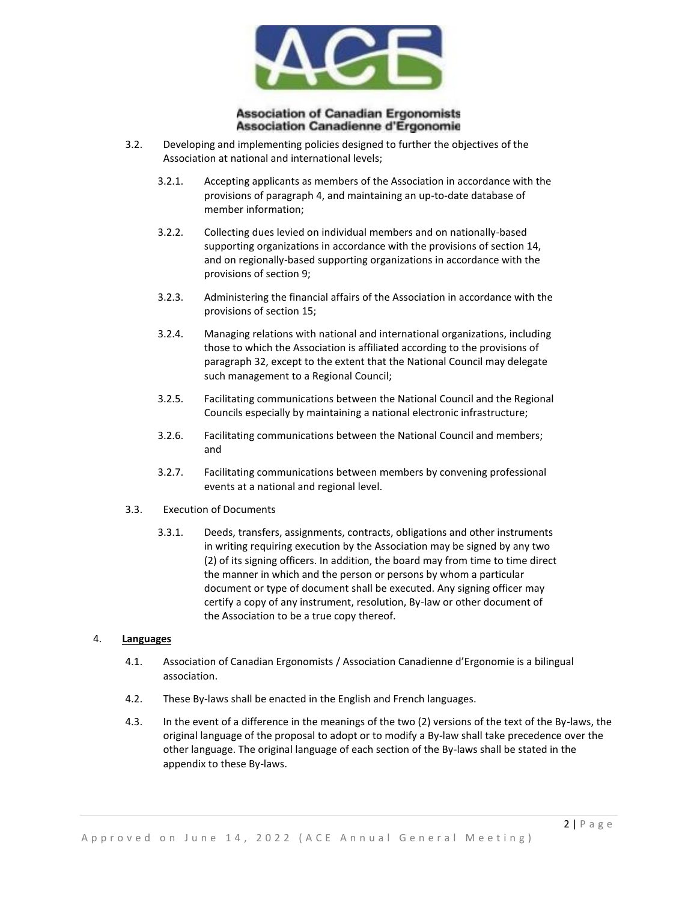

- 3.2. Developing and implementing policies designed to further the objectives of the Association at national and international levels;
	- 3.2.1. Accepting applicants as members of the Association in accordance with the provisions of paragraph 4, and maintaining an up-to-date database of member information;
	- 3.2.2. Collecting dues levied on individual members and on nationally-based supporting organizations in accordance with the provisions of section 14, and on regionally-based supporting organizations in accordance with the provisions of section 9;
	- 3.2.3. Administering the financial affairs of the Association in accordance with the provisions of section 15;
	- 3.2.4. Managing relations with national and international organizations, including those to which the Association is affiliated according to the provisions of paragraph 32, except to the extent that the National Council may delegate such management to a Regional Council;
	- 3.2.5. Facilitating communications between the National Council and the Regional Councils especially by maintaining a national electronic infrastructure;
	- 3.2.6. Facilitating communications between the National Council and members; and
	- 3.2.7. Facilitating communications between members by convening professional events at a national and regional level.
- 3.3. Execution of Documents
	- 3.3.1. Deeds, transfers, assignments, contracts, obligations and other instruments in writing requiring execution by the Association may be signed by any two (2) of its signing officers. In addition, the board may from time to time direct the manner in which and the person or persons by whom a particular document or type of document shall be executed. Any signing officer may certify a copy of any instrument, resolution, By-law or other document of the Association to be a true copy thereof.

#### 4. **Languages**

- 4.1. Association of Canadian Ergonomists / Association Canadienne d'Ergonomie is a bilingual association.
- 4.2. These By-laws shall be enacted in the English and French languages.
- 4.3. In the event of a difference in the meanings of the two (2) versions of the text of the By-laws, the original language of the proposal to adopt or to modify a By-law shall take precedence over the other language. The original language of each section of the By-laws shall be stated in the appendix to these By-laws.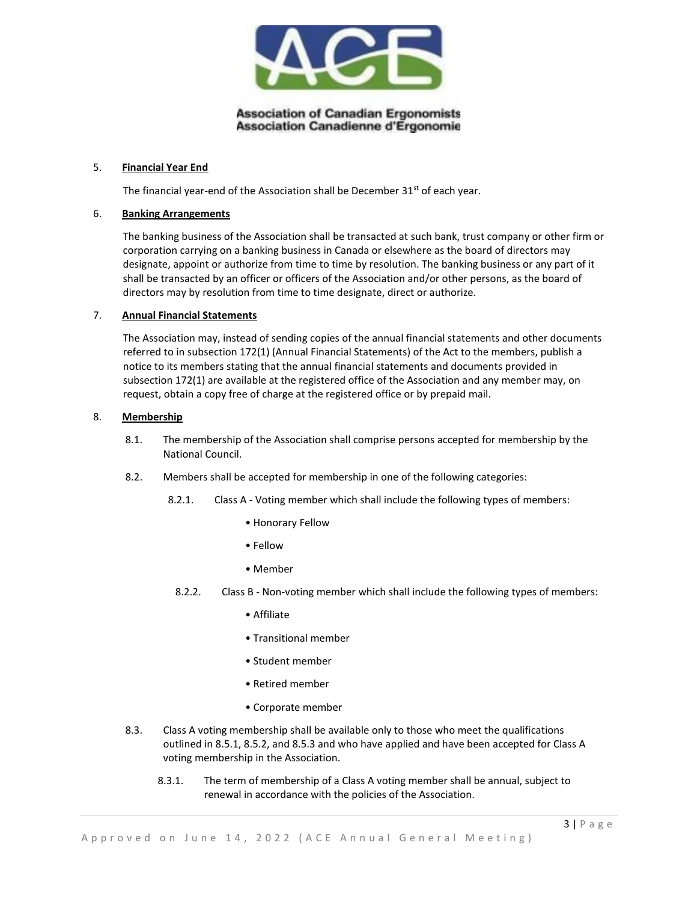

### 5. **Financial Year End**

The financial year-end of the Association shall be December  $31<sup>st</sup>$  of each year.

#### 6. **Banking Arrangements**

The banking business of the Association shall be transacted at such bank, trust company or other firm or corporation carrying on a banking business in Canada or elsewhere as the board of directors may designate, appoint or authorize from time to time by resolution. The banking business or any part of it shall be transacted by an officer or officers of the Association and/or other persons, as the board of directors may by resolution from time to time designate, direct or authorize.

#### 7. **Annual Financial Statements**

The Association may, instead of sending copies of the annual financial statements and other documents referred to in subsection 172(1) (Annual Financial Statements) of the Act to the members, publish a notice to its members stating that the annual financial statements and documents provided in subsection 172(1) are available at the registered office of the Association and any member may, on request, obtain a copy free of charge at the registered office or by prepaid mail.

#### 8. **Membership**

- 8.1. The membership of the Association shall comprise persons accepted for membership by the National Council.
- 8.2. Members shall be accepted for membership in one of the following categories:
	- 8.2.1. Class A Voting member which shall include the following types of members:
		- Honorary Fellow
		- Fellow
		- Member
	- 8.2.2. Class B Non-voting member which shall include the following types of members:
		- Affiliate
		- Transitional member
		- Student member
		- Retired member
		- Corporate member
- 8.3. Class A voting membership shall be available only to those who meet the qualifications outlined in 8.5.1, 8.5.2, and 8.5.3 and who have applied and have been accepted for Class A voting membership in the Association.
	- 8.3.1. The term of membership of a Class A voting member shall be annual, subject to renewal in accordance with the policies of the Association.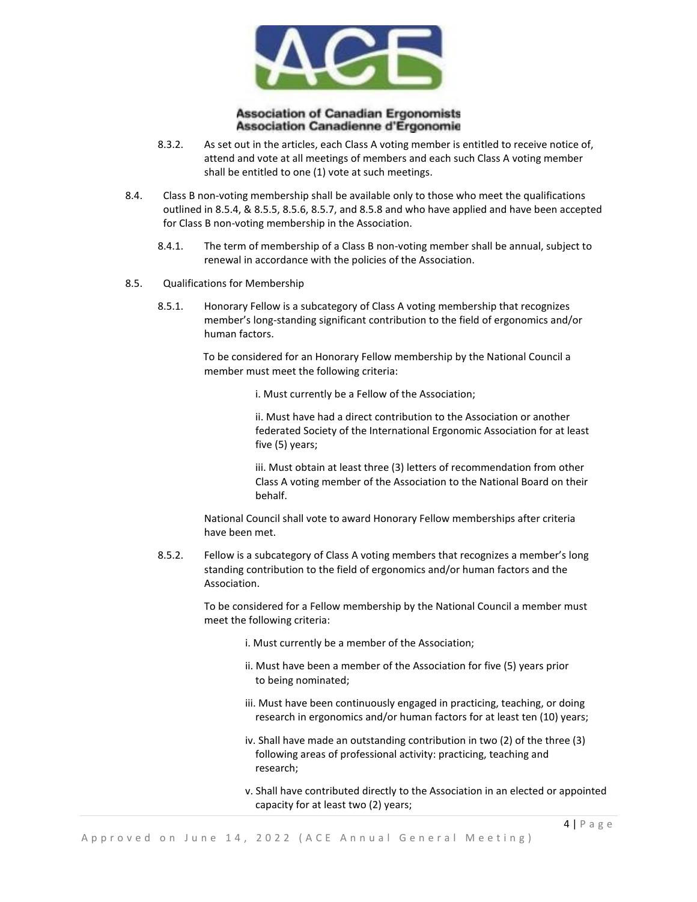

- 8.3.2. As set out in the articles, each Class A voting member is entitled to receive notice of, attend and vote at all meetings of members and each such Class A voting member shall be entitled to one (1) vote at such meetings.
- 8.4. Class B non-voting membership shall be available only to those who meet the qualifications outlined in 8.5.4, & 8.5.5, 8.5.6, 8.5.7, and 8.5.8 and who have applied and have been accepted for Class B non-voting membership in the Association.
	- 8.4.1. The term of membership of a Class B non-voting member shall be annual, subject to renewal in accordance with the policies of the Association.
- 8.5. Qualifications for Membership
	- 8.5.1. Honorary Fellow is a subcategory of Class A voting membership that recognizes member's long-standing significant contribution to the field of ergonomics and/or human factors.

To be considered for an Honorary Fellow membership by the National Council a member must meet the following criteria:

i. Must currently be a Fellow of the Association;

ii. Must have had a direct contribution to the Association or another federated Society of the International Ergonomic Association for at least five (5) years;

iii. Must obtain at least three (3) letters of recommendation from other Class A voting member of the Association to the National Board on their behalf.

National Council shall vote to award Honorary Fellow memberships after criteria have been met.

8.5.2. Fellow is a subcategory of Class A voting members that recognizes a member's long standing contribution to the field of ergonomics and/or human factors and the Association.

> To be considered for a Fellow membership by the National Council a member must meet the following criteria:

- i. Must currently be a member of the Association;
- ii. Must have been a member of the Association for five (5) years prior to being nominated;
- iii. Must have been continuously engaged in practicing, teaching, or doing research in ergonomics and/or human factors for at least ten (10) years;
- iv. Shall have made an outstanding contribution in two (2) of the three (3) following areas of professional activity: practicing, teaching and research;
- v. Shall have contributed directly to the Association in an elected or appointed capacity for at least two (2) years;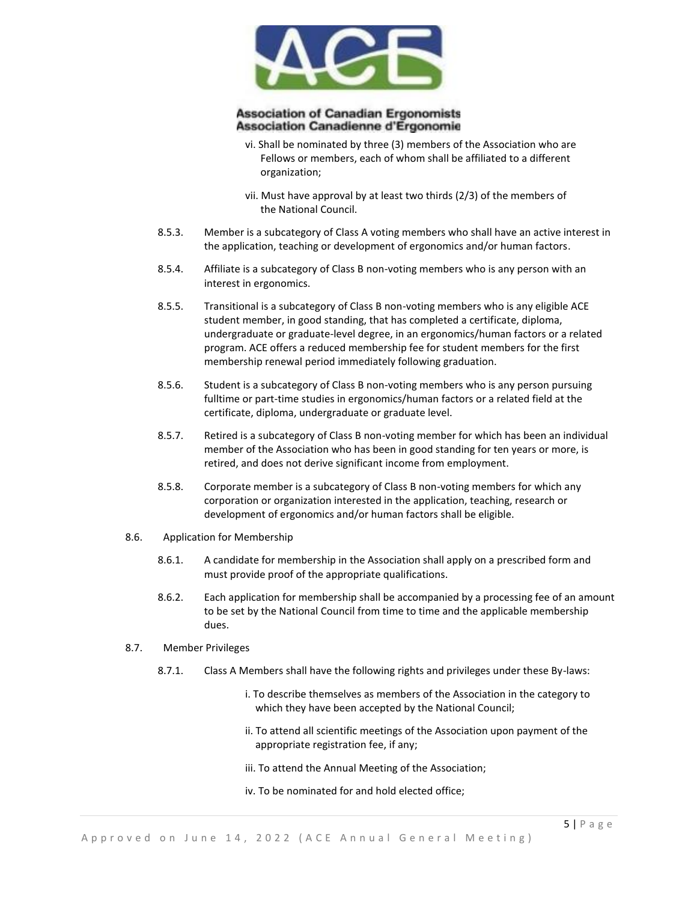

- vi. Shall be nominated by three (3) members of the Association who are Fellows or members, each of whom shall be affiliated to a different organization;
- vii. Must have approval by at least two thirds (2/3) of the members of the National Council.
- 8.5.3. Member is a subcategory of Class A voting members who shall have an active interest in the application, teaching or development of ergonomics and/or human factors.
- 8.5.4. Affiliate is a subcategory of Class B non-voting members who is any person with an interest in ergonomics.
- 8.5.5. Transitional is a subcategory of Class B non-voting members who is any eligible ACE student member, in good standing, that has completed a certificate, diploma, undergraduate or graduate-level degree, in an ergonomics/human factors or a related program. ACE offers a reduced membership fee for student members for the first membership renewal period immediately following graduation.
- 8.5.6. Student is a subcategory of Class B non-voting members who is any person pursuing fulltime or part-time studies in ergonomics/human factors or a related field at the certificate, diploma, undergraduate or graduate level.
- 8.5.7. Retired is a subcategory of Class B non-voting member for which has been an individual member of the Association who has been in good standing for ten years or more, is retired, and does not derive significant income from employment.
- 8.5.8. Corporate member is a subcategory of Class B non-voting members for which any corporation or organization interested in the application, teaching, research or development of ergonomics and/or human factors shall be eligible.
- 8.6. Application for Membership
	- 8.6.1. A candidate for membership in the Association shall apply on a prescribed form and must provide proof of the appropriate qualifications.
	- 8.6.2. Each application for membership shall be accompanied by a processing fee of an amount to be set by the National Council from time to time and the applicable membership dues.
- 8.7. Member Privileges
	- 8.7.1. Class A Members shall have the following rights and privileges under these By-laws:
		- i. To describe themselves as members of the Association in the category to which they have been accepted by the National Council;
		- ii. To attend all scientific meetings of the Association upon payment of the appropriate registration fee, if any;
		- iii. To attend the Annual Meeting of the Association;
		- iv. To be nominated for and hold elected office;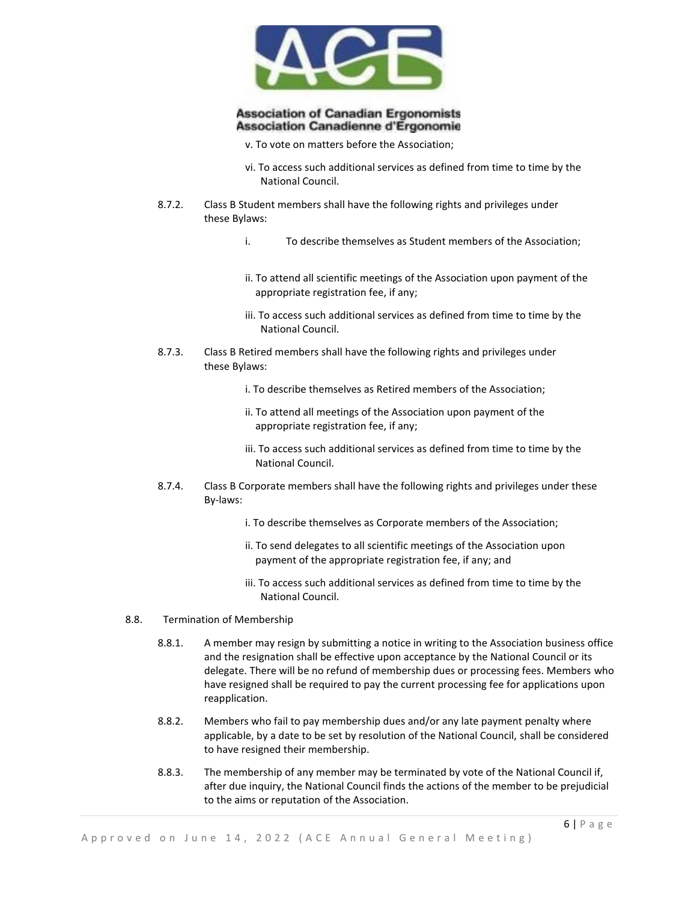

- v. To vote on matters before the Association;
- vi. To access such additional services as defined from time to time by the National Council.
- 8.7.2. Class B Student members shall have the following rights and privileges under these Bylaws:
	- i. To describe themselves as Student members of the Association;
	- ii. To attend all scientific meetings of the Association upon payment of the appropriate registration fee, if any;
	- iii. To access such additional services as defined from time to time by the National Council.
- 8.7.3. Class B Retired members shall have the following rights and privileges under these Bylaws:
	- i. To describe themselves as Retired members of the Association;
	- ii. To attend all meetings of the Association upon payment of the appropriate registration fee, if any;
	- iii. To access such additional services as defined from time to time by the National Council.
- 8.7.4. Class B Corporate members shall have the following rights and privileges under these By-laws:
	- i. To describe themselves as Corporate members of the Association;
	- ii. To send delegates to all scientific meetings of the Association upon payment of the appropriate registration fee, if any; and
	- iii. To access such additional services as defined from time to time by the National Council.
- 8.8. Termination of Membership
	- 8.8.1. A member may resign by submitting a notice in writing to the Association business office and the resignation shall be effective upon acceptance by the National Council or its delegate. There will be no refund of membership dues or processing fees. Members who have resigned shall be required to pay the current processing fee for applications upon reapplication.
	- 8.8.2. Members who fail to pay membership dues and/or any late payment penalty where applicable, by a date to be set by resolution of the National Council, shall be considered to have resigned their membership.
	- 8.8.3. The membership of any member may be terminated by vote of the National Council if, after due inquiry, the National Council finds the actions of the member to be prejudicial to the aims or reputation of the Association.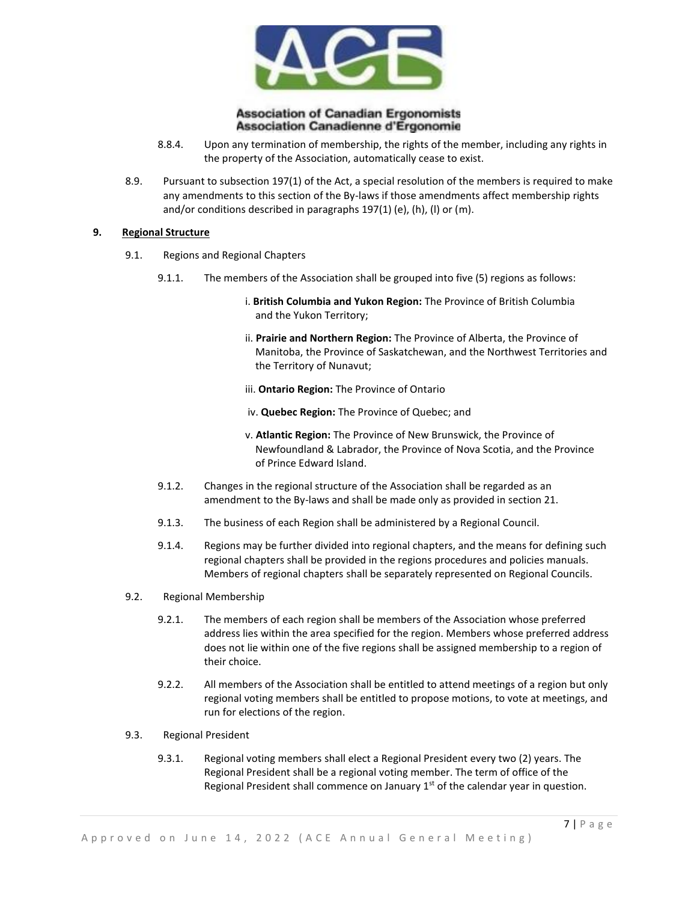

- 8.8.4. Upon any termination of membership, the rights of the member, including any rights in the property of the Association, automatically cease to exist.
- 8.9. Pursuant to subsection 197(1) of the Act, a special resolution of the members is required to make any amendments to this section of the By-laws if those amendments affect membership rights and/or conditions described in paragraphs 197(1) (e), (h), (l) or (m).

#### **9. Regional Structure**

- 9.1. Regions and Regional Chapters
	- 9.1.1. The members of the Association shall be grouped into five (5) regions as follows:
		- i. **British Columbia and Yukon Region:** The Province of British Columbia and the Yukon Territory;
		- ii. **Prairie and Northern Region:** The Province of Alberta, the Province of Manitoba, the Province of Saskatchewan, and the Northwest Territories and the Territory of Nunavut;
		- iii. **Ontario Region:** The Province of Ontario
		- iv. **Quebec Region:** The Province of Quebec; and
		- v. **Atlantic Region:** The Province of New Brunswick, the Province of Newfoundland & Labrador, the Province of Nova Scotia, and the Province of Prince Edward Island.
	- 9.1.2. Changes in the regional structure of the Association shall be regarded as an amendment to the By-laws and shall be made only as provided in section 21.
	- 9.1.3. The business of each Region shall be administered by a Regional Council.
	- 9.1.4. Regions may be further divided into regional chapters, and the means for defining such regional chapters shall be provided in the regions procedures and policies manuals. Members of regional chapters shall be separately represented on Regional Councils.
- 9.2. Regional Membership
	- 9.2.1. The members of each region shall be members of the Association whose preferred address lies within the area specified for the region. Members whose preferred address does not lie within one of the five regions shall be assigned membership to a region of their choice.
	- 9.2.2. All members of the Association shall be entitled to attend meetings of a region but only regional voting members shall be entitled to propose motions, to vote at meetings, and run for elections of the region.
- 9.3. Regional President
	- 9.3.1. Regional voting members shall elect a Regional President every two (2) years. The Regional President shall be a regional voting member. The term of office of the Regional President shall commence on January  $1<sup>st</sup>$  of the calendar year in question.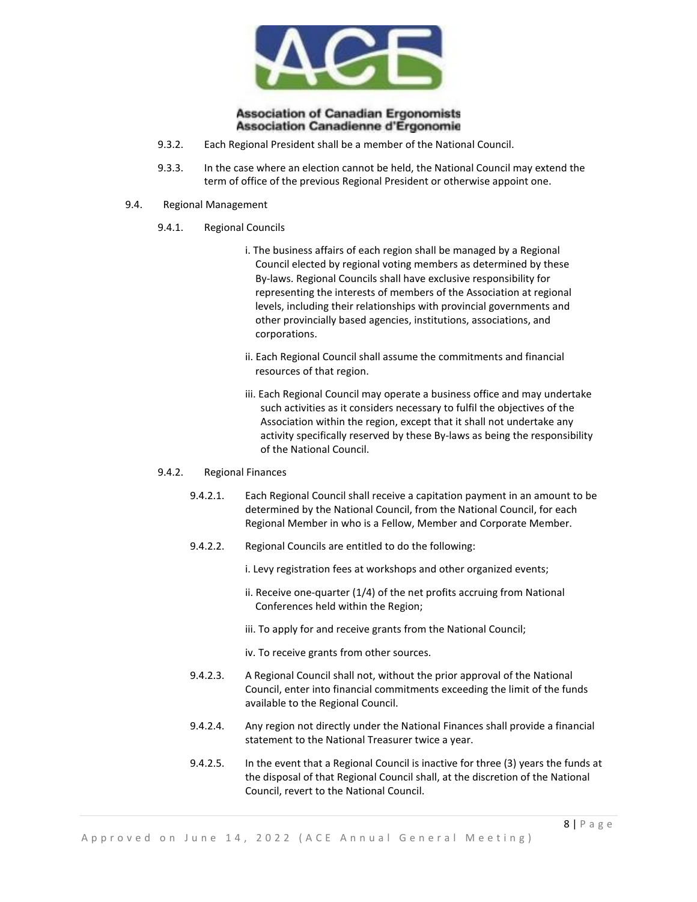

- 9.3.2. Each Regional President shall be a member of the National Council.
- 9.3.3. In the case where an election cannot be held, the National Council may extend the term of office of the previous Regional President or otherwise appoint one.
- 9.4. Regional Management
	- 9.4.1. Regional Councils
		- i. The business affairs of each region shall be managed by a Regional Council elected by regional voting members as determined by these By-laws. Regional Councils shall have exclusive responsibility for representing the interests of members of the Association at regional levels, including their relationships with provincial governments and other provincially based agencies, institutions, associations, and corporations.
		- ii. Each Regional Council shall assume the commitments and financial resources of that region.
		- iii. Each Regional Council may operate a business office and may undertake such activities as it considers necessary to fulfil the objectives of the Association within the region, except that it shall not undertake any activity specifically reserved by these By-laws as being the responsibility of the National Council.

#### 9.4.2. Regional Finances

- 9.4.2.1. Each Regional Council shall receive a capitation payment in an amount to be determined by the National Council, from the National Council, for each Regional Member in who is a Fellow, Member and Corporate Member.
- 9.4.2.2. Regional Councils are entitled to do the following:
	- i. Levy registration fees at workshops and other organized events;
	- ii. Receive one-quarter (1/4) of the net profits accruing from National Conferences held within the Region;
	- iii. To apply for and receive grants from the National Council;
	- iv. To receive grants from other sources.
- 9.4.2.3. A Regional Council shall not, without the prior approval of the National Council, enter into financial commitments exceeding the limit of the funds available to the Regional Council.
- 9.4.2.4. Any region not directly under the National Finances shall provide a financial statement to the National Treasurer twice a year.
- 9.4.2.5. In the event that a Regional Council is inactive for three (3) years the funds at the disposal of that Regional Council shall, at the discretion of the National Council, revert to the National Council.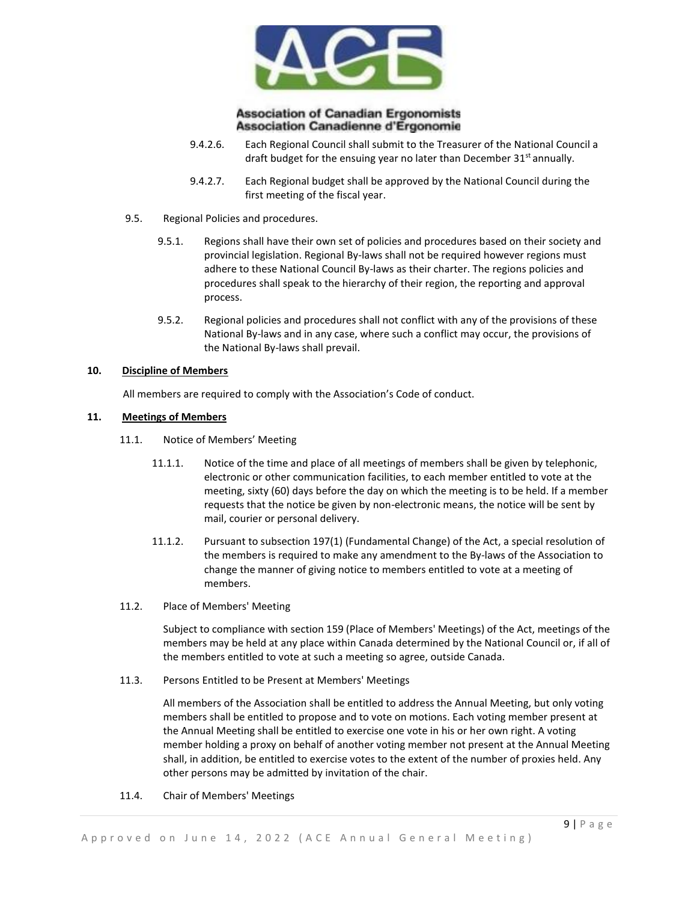

- 9.4.2.6. Each Regional Council shall submit to the Treasurer of the National Council a draft budget for the ensuing year no later than December  $31<sup>st</sup>$  annually.
- 9.4.2.7. Each Regional budget shall be approved by the National Council during the first meeting of the fiscal year.
- 9.5. Regional Policies and procedures.
	- 9.5.1. Regions shall have their own set of policies and procedures based on their society and provincial legislation. Regional By-laws shall not be required however regions must adhere to these National Council By-laws as their charter. The regions policies and procedures shall speak to the hierarchy of their region, the reporting and approval process.
	- 9.5.2. Regional policies and procedures shall not conflict with any of the provisions of these National By-laws and in any case, where such a conflict may occur, the provisions of the National By-laws shall prevail.

#### **10. Discipline of Members**

All members are required to comply with the Association's Code of conduct.

## **11. Meetings of Members**

- 11.1. Notice of Members' Meeting
	- 11.1.1. Notice of the time and place of all meetings of members shall be given by telephonic, electronic or other communication facilities, to each member entitled to vote at the meeting, sixty (60) days before the day on which the meeting is to be held. If a member requests that the notice be given by non-electronic means, the notice will be sent by mail, courier or personal delivery.
	- 11.1.2. Pursuant to subsection 197(1) (Fundamental Change) of the Act, a special resolution of the members is required to make any amendment to the By-laws of the Association to change the manner of giving notice to members entitled to vote at a meeting of members.
- 11.2. Place of Members' Meeting

Subject to compliance with section 159 (Place of Members' Meetings) of the Act, meetings of the members may be held at any place within Canada determined by the National Council or, if all of the members entitled to vote at such a meeting so agree, outside Canada.

11.3. Persons Entitled to be Present at Members' Meetings

All members of the Association shall be entitled to address the Annual Meeting, but only voting members shall be entitled to propose and to vote on motions. Each voting member present at the Annual Meeting shall be entitled to exercise one vote in his or her own right. A voting member holding a proxy on behalf of another voting member not present at the Annual Meeting shall, in addition, be entitled to exercise votes to the extent of the number of proxies held. Any other persons may be admitted by invitation of the chair.

11.4. Chair of Members' Meetings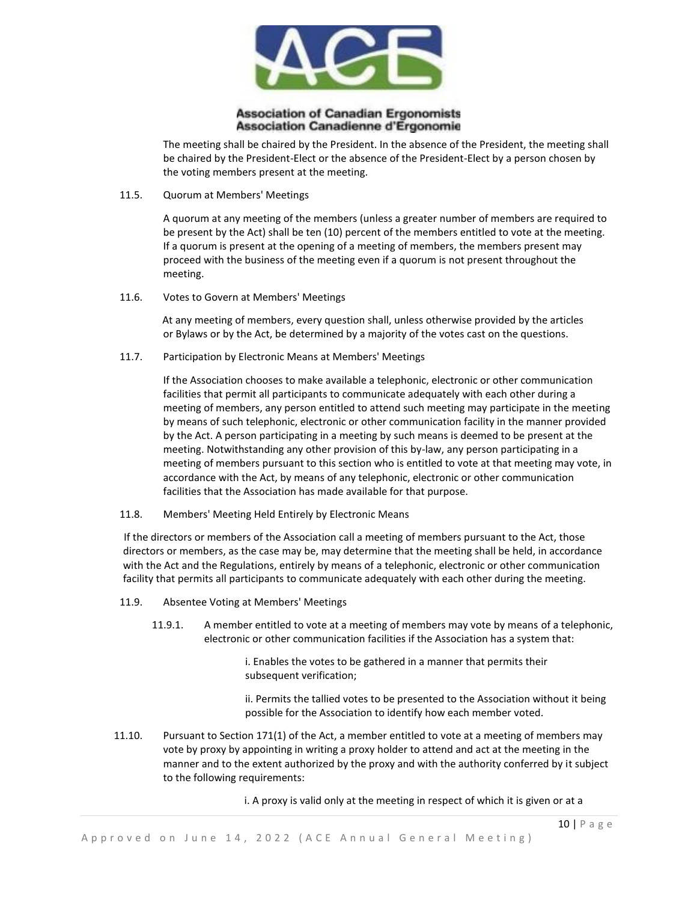

The meeting shall be chaired by the President. In the absence of the President, the meeting shall be chaired by the President-Elect or the absence of the President-Elect by a person chosen by the voting members present at the meeting.

11.5. Quorum at Members' Meetings

A quorum at any meeting of the members (unless a greater number of members are required to be present by the Act) shall be ten (10) percent of the members entitled to vote at the meeting. If a quorum is present at the opening of a meeting of members, the members present may proceed with the business of the meeting even if a quorum is not present throughout the meeting.

11.6. Votes to Govern at Members' Meetings

At any meeting of members, every question shall, unless otherwise provided by the articles or Bylaws or by the Act, be determined by a majority of the votes cast on the questions.

11.7. Participation by Electronic Means at Members' Meetings

If the Association chooses to make available a telephonic, electronic or other communication facilities that permit all participants to communicate adequately with each other during a meeting of members, any person entitled to attend such meeting may participate in the meeting by means of such telephonic, electronic or other communication facility in the manner provided by the Act. A person participating in a meeting by such means is deemed to be present at the meeting. Notwithstanding any other provision of this by-law, any person participating in a meeting of members pursuant to this section who is entitled to vote at that meeting may vote, in accordance with the Act, by means of any telephonic, electronic or other communication facilities that the Association has made available for that purpose.

11.8. Members' Meeting Held Entirely by Electronic Means

If the directors or members of the Association call a meeting of members pursuant to the Act, those directors or members, as the case may be, may determine that the meeting shall be held, in accordance with the Act and the Regulations, entirely by means of a telephonic, electronic or other communication facility that permits all participants to communicate adequately with each other during the meeting.

- 11.9. Absentee Voting at Members' Meetings
	- 11.9.1. A member entitled to vote at a meeting of members may vote by means of a telephonic, electronic or other communication facilities if the Association has a system that:

i. Enables the votes to be gathered in a manner that permits their subsequent verification;

ii. Permits the tallied votes to be presented to the Association without it being possible for the Association to identify how each member voted.

11.10. Pursuant to Section 171(1) of the Act, a member entitled to vote at a meeting of members may vote by proxy by appointing in writing a proxy holder to attend and act at the meeting in the manner and to the extent authorized by the proxy and with the authority conferred by it subject to the following requirements:

i. A proxy is valid only at the meeting in respect of which it is given or at a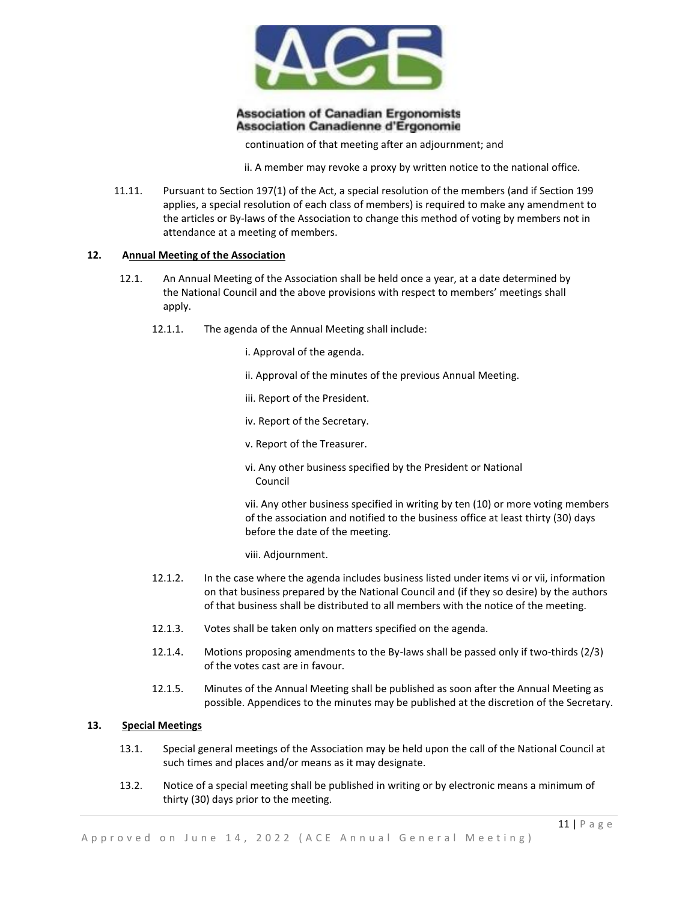

continuation of that meeting after an adjournment; and

ii. A member may revoke a proxy by written notice to the national office.

11.11. Pursuant to Section 197(1) of the Act, a special resolution of the members (and if Section 199 applies, a special resolution of each class of members) is required to make any amendment to the articles or By-laws of the Association to change this method of voting by members not in attendance at a meeting of members.

#### **12. Annual Meeting of the Association**

- 12.1. An Annual Meeting of the Association shall be held once a year, at a date determined by the National Council and the above provisions with respect to members' meetings shall apply.
	- 12.1.1. The agenda of the Annual Meeting shall include:
		- i. Approval of the agenda.
		- ii. Approval of the minutes of the previous Annual Meeting.
		- iii. Report of the President.
		- iv. Report of the Secretary.
		- v. Report of the Treasurer.
		- vi. Any other business specified by the President or National Council

vii. Any other business specified in writing by ten (10) or more voting members of the association and notified to the business office at least thirty (30) days before the date of the meeting.

- viii. Adjournment.
- 12.1.2. In the case where the agenda includes business listed under items vi or vii, information on that business prepared by the National Council and (if they so desire) by the authors of that business shall be distributed to all members with the notice of the meeting.
- 12.1.3. Votes shall be taken only on matters specified on the agenda.
- 12.1.4. Motions proposing amendments to the By-laws shall be passed only if two-thirds (2/3) of the votes cast are in favour.
- 12.1.5. Minutes of the Annual Meeting shall be published as soon after the Annual Meeting as possible. Appendices to the minutes may be published at the discretion of the Secretary.

## **13. Special Meetings**

- 13.1. Special general meetings of the Association may be held upon the call of the National Council at such times and places and/or means as it may designate.
- 13.2. Notice of a special meeting shall be published in writing or by electronic means a minimum of thirty (30) days prior to the meeting.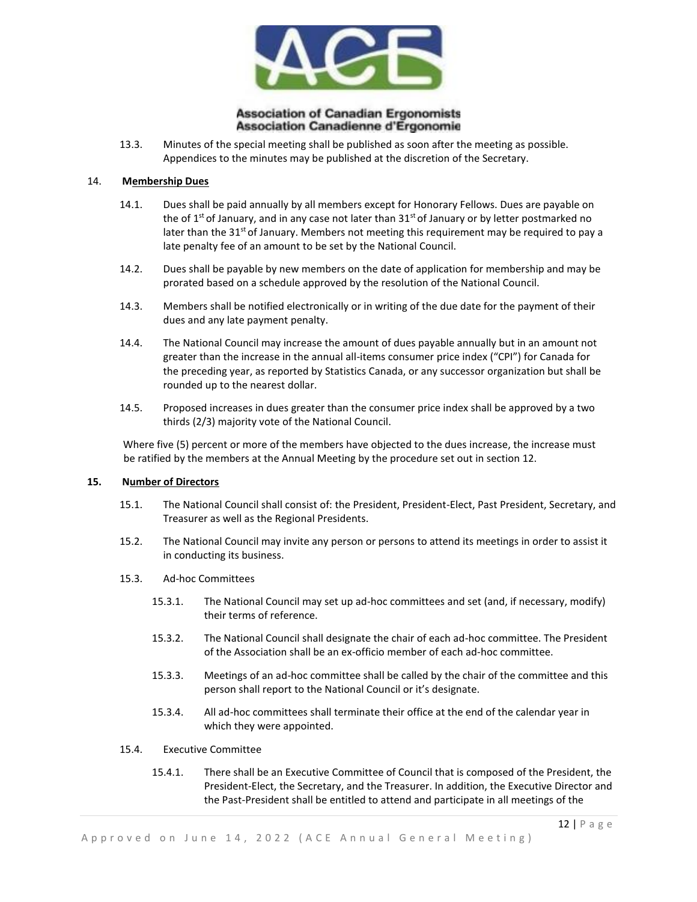

13.3. Minutes of the special meeting shall be published as soon after the meeting as possible. Appendices to the minutes may be published at the discretion of the Secretary.

## 14. **Membership Dues**

- 14.1. Dues shall be paid annually by all members except for Honorary Fellows. Dues are payable on the of  $1<sup>st</sup>$  of January, and in any case not later than  $31<sup>st</sup>$  of January or by letter postmarked no later than the  $31<sup>st</sup>$  of January. Members not meeting this requirement may be required to pay a late penalty fee of an amount to be set by the National Council.
- 14.2. Dues shall be payable by new members on the date of application for membership and may be prorated based on a schedule approved by the resolution of the National Council.
- 14.3. Members shall be notified electronically or in writing of the due date for the payment of their dues and any late payment penalty.
- 14.4. The National Council may increase the amount of dues payable annually but in an amount not greater than the increase in the annual all-items consumer price index ("CPI") for Canada for the preceding year, as reported by Statistics Canada, or any successor organization but shall be rounded up to the nearest dollar.
- 14.5. Proposed increases in dues greater than the consumer price index shall be approved by a two thirds (2/3) majority vote of the National Council.

Where five (5) percent or more of the members have objected to the dues increase, the increase must be ratified by the members at the Annual Meeting by the procedure set out in section 12.

#### **15. Number of Directors**

- 15.1. The National Council shall consist of: the President, President-Elect, Past President, Secretary, and Treasurer as well as the Regional Presidents.
- 15.2. The National Council may invite any person or persons to attend its meetings in order to assist it in conducting its business.
- 15.3. Ad-hoc Committees
	- 15.3.1. The National Council may set up ad-hoc committees and set (and, if necessary, modify) their terms of reference.
	- 15.3.2. The National Council shall designate the chair of each ad-hoc committee. The President of the Association shall be an ex-officio member of each ad-hoc committee.
	- 15.3.3. Meetings of an ad-hoc committee shall be called by the chair of the committee and this person shall report to the National Council or it's designate.
	- 15.3.4. All ad-hoc committees shall terminate their office at the end of the calendar year in which they were appointed.

#### 15.4. Executive Committee

15.4.1. There shall be an Executive Committee of Council that is composed of the President, the President-Elect, the Secretary, and the Treasurer. In addition, the Executive Director and the Past-President shall be entitled to attend and participate in all meetings of the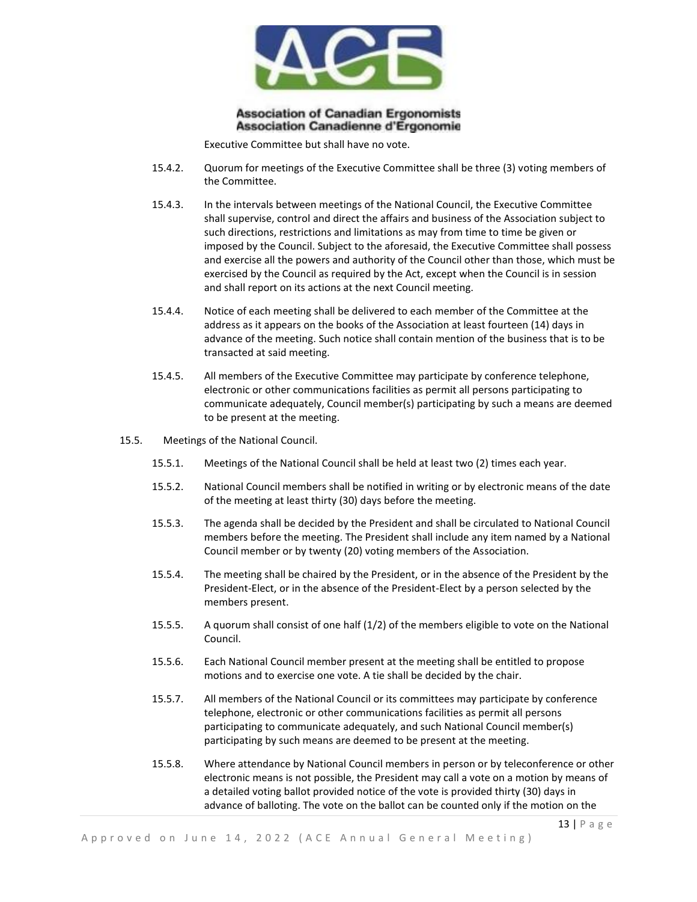

Executive Committee but shall have no vote.

- 15.4.2. Quorum for meetings of the Executive Committee shall be three (3) voting members of the Committee.
- 15.4.3. In the intervals between meetings of the National Council, the Executive Committee shall supervise, control and direct the affairs and business of the Association subject to such directions, restrictions and limitations as may from time to time be given or imposed by the Council. Subject to the aforesaid, the Executive Committee shall possess and exercise all the powers and authority of the Council other than those, which must be exercised by the Council as required by the Act, except when the Council is in session and shall report on its actions at the next Council meeting.
- 15.4.4. Notice of each meeting shall be delivered to each member of the Committee at the address as it appears on the books of the Association at least fourteen (14) days in advance of the meeting. Such notice shall contain mention of the business that is to be transacted at said meeting.
- 15.4.5. All members of the Executive Committee may participate by conference telephone, electronic or other communications facilities as permit all persons participating to communicate adequately, Council member(s) participating by such a means are deemed to be present at the meeting.
- 15.5. Meetings of the National Council.
	- 15.5.1. Meetings of the National Council shall be held at least two (2) times each year.
	- 15.5.2. National Council members shall be notified in writing or by electronic means of the date of the meeting at least thirty (30) days before the meeting.
	- 15.5.3. The agenda shall be decided by the President and shall be circulated to National Council members before the meeting. The President shall include any item named by a National Council member or by twenty (20) voting members of the Association.
	- 15.5.4. The meeting shall be chaired by the President, or in the absence of the President by the President-Elect, or in the absence of the President-Elect by a person selected by the members present.
	- 15.5.5. A quorum shall consist of one half (1/2) of the members eligible to vote on the National Council.
	- 15.5.6. Each National Council member present at the meeting shall be entitled to propose motions and to exercise one vote. A tie shall be decided by the chair.
	- 15.5.7. All members of the National Council or its committees may participate by conference telephone, electronic or other communications facilities as permit all persons participating to communicate adequately, and such National Council member(s) participating by such means are deemed to be present at the meeting.
	- 15.5.8. Where attendance by National Council members in person or by teleconference or other electronic means is not possible, the President may call a vote on a motion by means of a detailed voting ballot provided notice of the vote is provided thirty (30) days in advance of balloting. The vote on the ballot can be counted only if the motion on the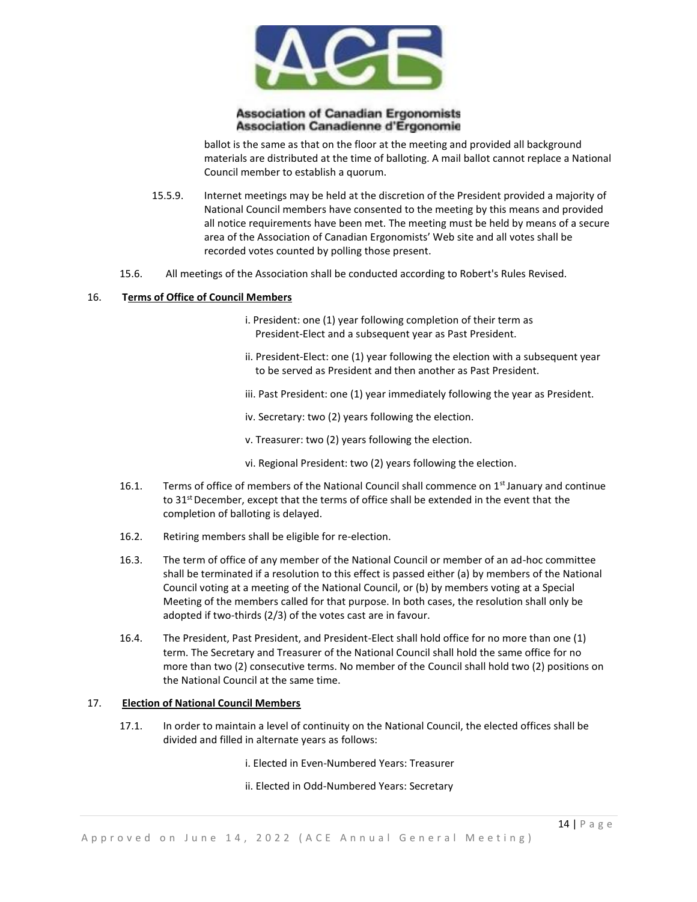

ballot is the same as that on the floor at the meeting and provided all background materials are distributed at the time of balloting. A mail ballot cannot replace a National Council member to establish a quorum.

- 15.5.9. Internet meetings may be held at the discretion of the President provided a majority of National Council members have consented to the meeting by this means and provided all notice requirements have been met. The meeting must be held by means of a secure area of the Association of Canadian Ergonomists' Web site and all votes shall be recorded votes counted by polling those present.
- 15.6. All meetings of the Association shall be conducted according to Robert's Rules Revised.

#### 16. **Terms of Office of Council Members**

- i. President: one (1) year following completion of their term as President-Elect and a subsequent year as Past President.
- ii. President-Elect: one (1) year following the election with a subsequent year to be served as President and then another as Past President.
- iii. Past President: one (1) year immediately following the year as President.
- iv. Secretary: two (2) years following the election.
- v. Treasurer: two (2) years following the election.
- vi. Regional President: two (2) years following the election.
- 16.1. Terms of office of members of the National Council shall commence on 1<sup>st</sup> January and continue to 31<sup>st</sup> December, except that the terms of office shall be extended in the event that the completion of balloting is delayed.
- 16.2. Retiring members shall be eligible for re-election.
- 16.3. The term of office of any member of the National Council or member of an ad-hoc committee shall be terminated if a resolution to this effect is passed either (a) by members of the National Council voting at a meeting of the National Council, or (b) by members voting at a Special Meeting of the members called for that purpose. In both cases, the resolution shall only be adopted if two-thirds (2/3) of the votes cast are in favour.
- 16.4. The President, Past President, and President-Elect shall hold office for no more than one (1) term. The Secretary and Treasurer of the National Council shall hold the same office for no more than two (2) consecutive terms. No member of the Council shall hold two (2) positions on the National Council at the same time.

## 17. **Election of National Council Members**

- 17.1. In order to maintain a level of continuity on the National Council, the elected offices shall be divided and filled in alternate years as follows:
	- i. Elected in Even-Numbered Years: Treasurer
	- ii. Elected in Odd-Numbered Years: Secretary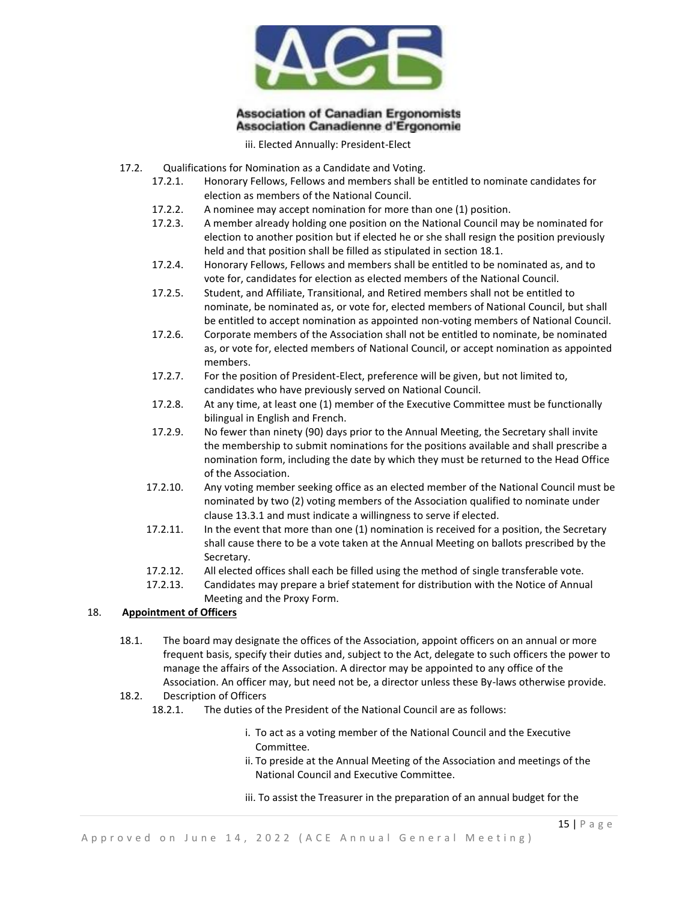

iii. Elected Annually: President-Elect

- 17.2. Qualifications for Nomination as a Candidate and Voting.
	- 17.2.1. Honorary Fellows, Fellows and members shall be entitled to nominate candidates for election as members of the National Council.
	- 17.2.2. A nominee may accept nomination for more than one (1) position.
	- 17.2.3. A member already holding one position on the National Council may be nominated for election to another position but if elected he or she shall resign the position previously held and that position shall be filled as stipulated in section 18.1.
	- 17.2.4. Honorary Fellows, Fellows and members shall be entitled to be nominated as, and to vote for, candidates for election as elected members of the National Council.
	- 17.2.5. Student, and Affiliate, Transitional, and Retired members shall not be entitled to nominate, be nominated as, or vote for, elected members of National Council, but shall be entitled to accept nomination as appointed non-voting members of National Council.
	- 17.2.6. Corporate members of the Association shall not be entitled to nominate, be nominated as, or vote for, elected members of National Council, or accept nomination as appointed members.
	- 17.2.7. For the position of President-Elect, preference will be given, but not limited to, candidates who have previously served on National Council.
	- 17.2.8. At any time, at least one (1) member of the Executive Committee must be functionally bilingual in English and French.
	- 17.2.9. No fewer than ninety (90) days prior to the Annual Meeting, the Secretary shall invite the membership to submit nominations for the positions available and shall prescribe a nomination form, including the date by which they must be returned to the Head Office of the Association.
	- 17.2.10. Any voting member seeking office as an elected member of the National Council must be nominated by two (2) voting members of the Association qualified to nominate under clause 13.3.1 and must indicate a willingness to serve if elected.
	- 17.2.11. In the event that more than one (1) nomination is received for a position, the Secretary shall cause there to be a vote taken at the Annual Meeting on ballots prescribed by the Secretary.
	- 17.2.12. All elected offices shall each be filled using the method of single transferable vote.
	- 17.2.13. Candidates may prepare a brief statement for distribution with the Notice of Annual Meeting and the Proxy Form.

## 18. **Appointment of Officers**

18.1. The board may designate the offices of the Association, appoint officers on an annual or more frequent basis, specify their duties and, subject to the Act, delegate to such officers the power to manage the affairs of the Association. A director may be appointed to any office of the Association. An officer may, but need not be, a director unless these By-laws otherwise provide.

# 18.2. Description of Officers

- 18.2.1. The duties of the President of the National Council are as follows:
	- i. To act as a voting member of the National Council and the Executive Committee.
	- ii. To preside at the Annual Meeting of the Association and meetings of the National Council and Executive Committee.
	- iii. To assist the Treasurer in the preparation of an annual budget for the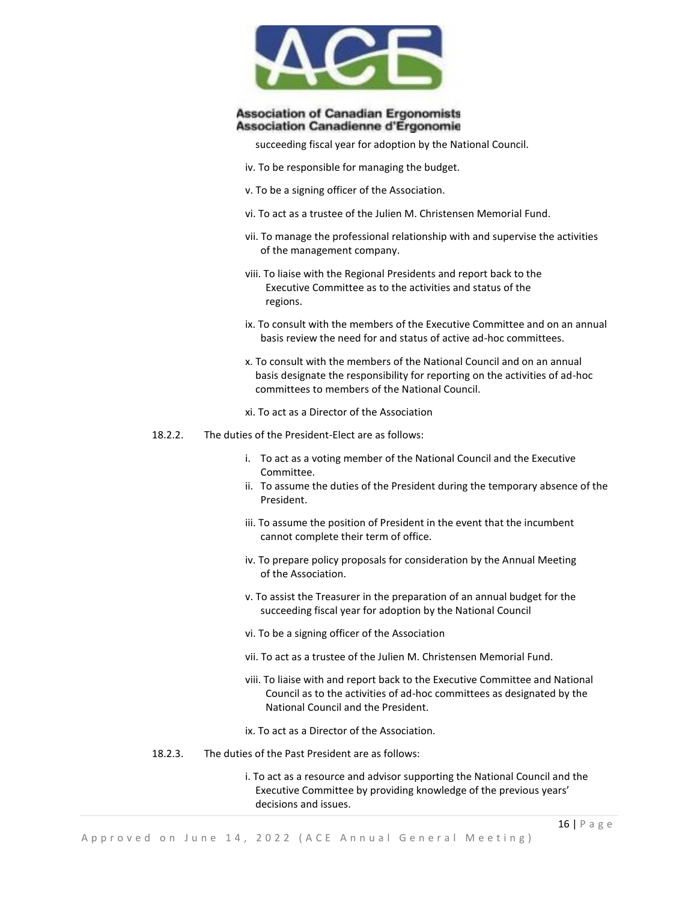

succeeding fiscal year for adoption by the National Council.

- iv. To be responsible for managing the budget.
- v. To be a signing officer of the Association.
- vi. To act as a trustee of the Julien M. Christensen Memorial Fund.
- vii. To manage the professional relationship with and supervise the activities of the management company.
- viii. To liaise with the Regional Presidents and report back to the Executive Committee as to the activities and status of the regions.
- ix. To consult with the members of the Executive Committee and on an annual basis review the need for and status of active ad-hoc committees.
- x. To consult with the members of the National Council and on an annual basis designate the responsibility for reporting on the activities of ad-hoc committees to members of the National Council.
- xi. To act as a Director of the Association
- 18.2.2. The duties of the President-Elect are as follows:
	- i. To act as a voting member of the National Council and the Executive Committee.
	- ii. To assume the duties of the President during the temporary absence of the President.
	- iii. To assume the position of President in the event that the incumbent cannot complete their term of office.
	- iv. To prepare policy proposals for consideration by the Annual Meeting of the Association.
	- v. To assist the Treasurer in the preparation of an annual budget for the succeeding fiscal year for adoption by the National Council
	- vi. To be a signing officer of the Association
	- vii. To act as a trustee of the Julien M. Christensen Memorial Fund.
	- viii. To liaise with and report back to the Executive Committee and National Council as to the activities of ad-hoc committees as designated by the National Council and the President.
	- ix. To act as a Director of the Association.
- 18.2.3. The duties of the Past President are as follows:
	- i. To act as a resource and advisor supporting the National Council and the Executive Committee by providing knowledge of the previous years' decisions and issues.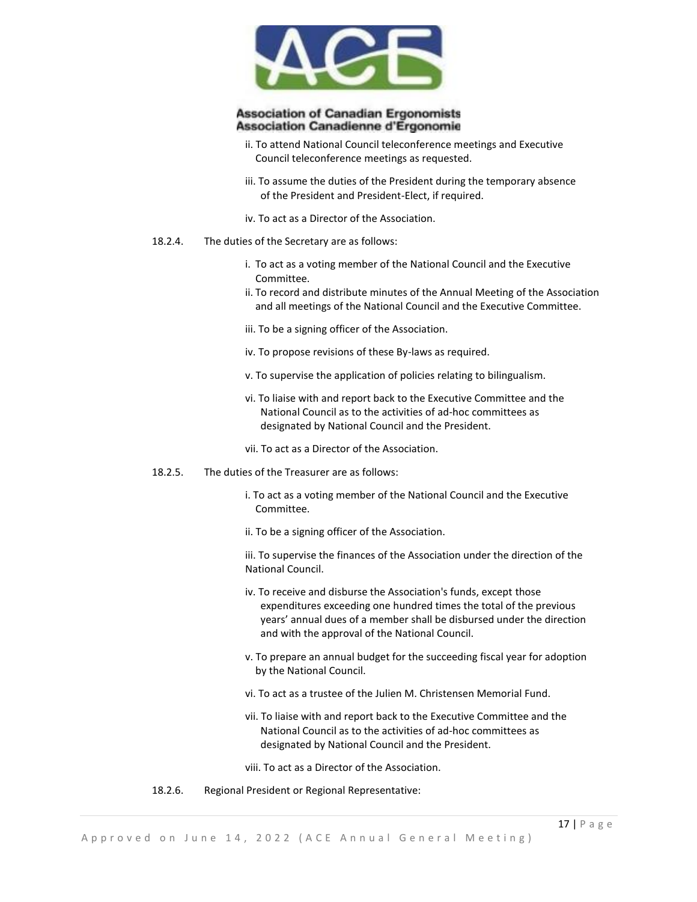

- ii. To attend National Council teleconference meetings and Executive Council teleconference meetings as requested.
- iii. To assume the duties of the President during the temporary absence of the President and President-Elect, if required.
- iv. To act as a Director of the Association.
- 18.2.4. The duties of the Secretary are as follows:
	- i. To act as a voting member of the National Council and the Executive Committee.
	- ii. To record and distribute minutes of the Annual Meeting of the Association and all meetings of the National Council and the Executive Committee.
	- iii. To be a signing officer of the Association.
	- iv. To propose revisions of these By-laws as required.
	- v. To supervise the application of policies relating to bilingualism.
	- vi. To liaise with and report back to the Executive Committee and the National Council as to the activities of ad-hoc committees as designated by National Council and the President.
	- vii. To act as a Director of the Association.
- 18.2.5. The duties of the Treasurer are as follows:
	- i. To act as a voting member of the National Council and the Executive Committee.
	- ii. To be a signing officer of the Association.
	- iii. To supervise the finances of the Association under the direction of the National Council.
	- iv. To receive and disburse the Association's funds, except those expenditures exceeding one hundred times the total of the previous years' annual dues of a member shall be disbursed under the direction and with the approval of the National Council.
	- v. To prepare an annual budget for the succeeding fiscal year for adoption by the National Council.
	- vi. To act as a trustee of the Julien M. Christensen Memorial Fund.
	- vii. To liaise with and report back to the Executive Committee and the National Council as to the activities of ad-hoc committees as designated by National Council and the President.
	- viii. To act as a Director of the Association.
- 18.2.6. Regional President or Regional Representative: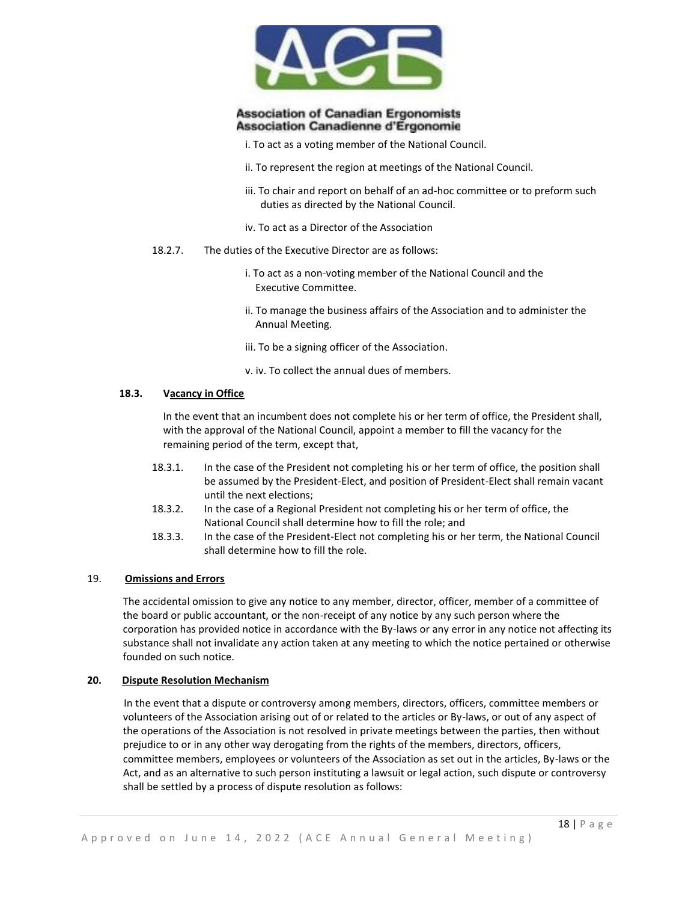

- i. To act as a voting member of the National Council.
- ii. To represent the region at meetings of the National Council.
- iii. To chair and report on behalf of an ad-hoc committee or to preform such duties as directed by the National Council.
- iv. To act as a Director of the Association
- 18.2.7. The duties of the Executive Director are as follows:
	- i. To act as a non-voting member of the National Council and the Executive Committee.
	- ii. To manage the business affairs of the Association and to administer the Annual Meeting.
	- iii. To be a signing officer of the Association.
	- v. iv. To collect the annual dues of members.

#### **18.3. Vacancy in Office**

In the event that an incumbent does not complete his or her term of office, the President shall, with the approval of the National Council, appoint a member to fill the vacancy for the remaining period of the term, except that,

- 18.3.1. In the case of the President not completing his or her term of office, the position shall be assumed by the President-Elect, and position of President-Elect shall remain vacant until the next elections;
- 18.3.2. In the case of a Regional President not completing his or her term of office, the National Council shall determine how to fill the role; and
- 18.3.3. In the case of the President-Elect not completing his or her term, the National Council shall determine how to fill the role.

## 19. **Omissions and Errors**

The accidental omission to give any notice to any member, director, officer, member of a committee of the board or public accountant, or the non-receipt of any notice by any such person where the corporation has provided notice in accordance with the By-laws or any error in any notice not affecting its substance shall not invalidate any action taken at any meeting to which the notice pertained or otherwise founded on such notice.

#### **20. Dispute Resolution Mechanism**

In the event that a dispute or controversy among members, directors, officers, committee members or volunteers of the Association arising out of or related to the articles or By-laws, or out of any aspect of the operations of the Association is not resolved in private meetings between the parties, then without prejudice to or in any other way derogating from the rights of the members, directors, officers, committee members, employees or volunteers of the Association as set out in the articles, By-laws or the Act, and as an alternative to such person instituting a lawsuit or legal action, such dispute or controversy shall be settled by a process of dispute resolution as follows: